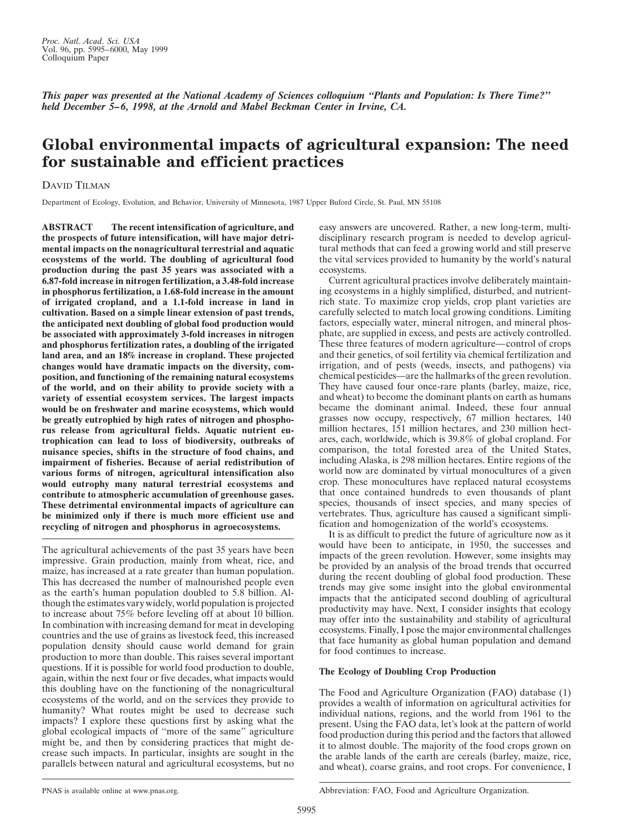*This paper was presented at the National Academy of Sciences colloquium ''Plants and Population: Is There Time?'' held December 5–6, 1998, at the Arnold and Mabel Beckman Center in Irvine, CA.*

# **Global environmental impacts of agricultural expansion: The need for sustainable and efficient practices**

## DAVID TILMAN

Department of Ecology, Evolution, and Behavior, University of Minnesota, 1987 Upper Buford Circle, St. Paul, MN 55108

**ABSTRACT The recent intensification of agriculture, and the prospects of future intensification, will have major detrimental impacts on the nonagricultural terrestrial and aquatic ecosystems of the world. The doubling of agricultural food production during the past 35 years was associated with a 6.87-fold increase in nitrogen fertilization, a 3.48-fold increase in phosphorus fertilization, a 1.68-fold increase in the amount of irrigated cropland, and a 1.1-fold increase in land in cultivation. Based on a simple linear extension of past trends, the anticipated next doubling of global food production would be associated with approximately 3-fold increases in nitrogen and phosphorus fertilization rates, a doubling of the irrigated land area, and an 18% increase in cropland. These projected changes would have dramatic impacts on the diversity, composition, and functioning of the remaining natural ecosystems of the world, and on their ability to provide society with a variety of essential ecosystem services. The largest impacts would be on freshwater and marine ecosystems, which would be greatly eutrophied by high rates of nitrogen and phosphorus release from agricultural fields. Aquatic nutrient eutrophication can lead to loss of biodiversity, outbreaks of nuisance species, shifts in the structure of food chains, and impairment of fisheries. Because of aerial redistribution of various forms of nitrogen, agricultural intensification also would eutrophy many natural terrestrial ecosystems and contribute to atmospheric accumulation of greenhouse gases. These detrimental environmental impacts of agriculture can be minimized only if there is much more efficient use and recycling of nitrogen and phosphorus in agroecosystems.**

The agricultural achievements of the past 35 years have been impressive. Grain production, mainly from wheat, rice, and maize, has increased at a rate greater than human population. This has decreased the number of malnourished people even as the earth's human population doubled to 5.8 billion. Although the estimates vary widely, world population is projected to increase about 75% before leveling off at about 10 billion. In combination with increasing demand for meat in developing countries and the use of grains as livestock feed, this increased population density should cause world demand for grain production to more than double. This raises several important questions. If it is possible for world food production to double, again, within the next four or five decades, what impacts would this doubling have on the functioning of the nonagricultural ecosystems of the world, and on the services they provide to humanity? What routes might be used to decrease such impacts? I explore these questions first by asking what the global ecological impacts of ''more of the same'' agriculture might be, and then by considering practices that might decrease such impacts. In particular, insights are sought in the parallels between natural and agricultural ecosystems, but no

easy answers are uncovered. Rather, a new long-term, multidisciplinary research program is needed to develop agricultural methods that can feed a growing world and still preserve the vital services provided to humanity by the world's natural ecosystems.

Current agricultural practices involve deliberately maintaining ecosystems in a highly simplified, disturbed, and nutrientrich state. To maximize crop yields, crop plant varieties are carefully selected to match local growing conditions. Limiting factors, especially water, mineral nitrogen, and mineral phosphate, are supplied in excess, and pests are actively controlled. These three features of modern agriculture—control of crops and their genetics, of soil fertility via chemical fertilization and irrigation, and of pests (weeds, insects, and pathogens) via chemical pesticides—are the hallmarks of the green revolution. They have caused four once-rare plants (barley, maize, rice, and wheat) to become the dominant plants on earth as humans became the dominant animal. Indeed, these four annual grasses now occupy, respectively, 67 million hectares, 140 million hectares, 151 million hectares, and 230 million hectares, each, worldwide, which is 39.8% of global cropland. For comparison, the total forested area of the United States, including Alaska, is 298 million hectares. Entire regions of the world now are dominated by virtual monocultures of a given crop. These monocultures have replaced natural ecosystems that once contained hundreds to even thousands of plant species, thousands of insect species, and many species of vertebrates. Thus, agriculture has caused a significant simplification and homogenization of the world's ecosystems.

It is as difficult to predict the future of agriculture now as it would have been to anticipate, in 1950, the successes and impacts of the green revolution. However, some insights may be provided by an analysis of the broad trends that occurred during the recent doubling of global food production. These trends may give some insight into the global environmental impacts that the anticipated second doubling of agricultural productivity may have. Next, I consider insights that ecology may offer into the sustainability and stability of agricultural ecosystems. Finally, I pose the major environmental challenges that face humanity as global human population and demand for food continues to increase.

## **The Ecology of Doubling Crop Production**

The Food and Agriculture Organization (FAO) database (1) provides a wealth of information on agricultural activities for individual nations, regions, and the world from 1961 to the present. Using the FAO data, let's look at the pattern of world food production during this period and the factors that allowed it to almost double. The majority of the food crops grown on the arable lands of the earth are cereals (barley, maize, rice, and wheat), coarse grains, and root crops. For convenience, I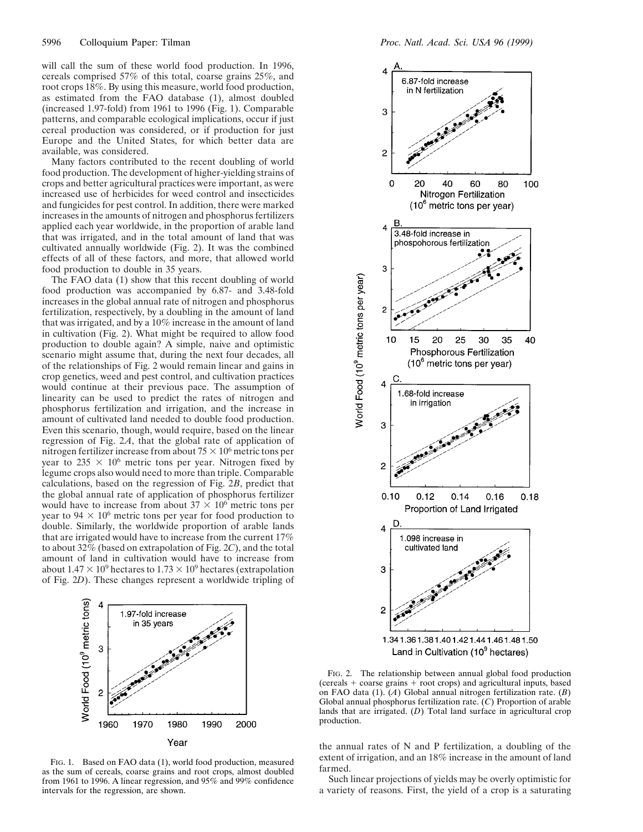will call the sum of these world food production. In 1996, cereals comprised 57% of this total, coarse grains 25%, and root crops 18%. By using this measure, world food production, as estimated from the FAO database (1), almost doubled (increased 1.97-fold) from 1961 to 1996 (Fig. 1). Comparable patterns, and comparable ecological implications, occur if just cereal production was considered, or if production for just Europe and the United States, for which better data are available, was considered.

Many factors contributed to the recent doubling of world food production. The development of higher-yielding strains of crops and better agricultural practices were important, as were increased use of herbicides for weed control and insecticides and fungicides for pest control. In addition, there were marked increases in the amounts of nitrogen and phosphorus fertilizers applied each year worldwide, in the proportion of arable land that was irrigated, and in the total amount of land that was cultivated annually worldwide (Fig. 2). It was the combined effects of all of these factors, and more, that allowed world food production to double in 35 years.

The FAO data (1) show that this recent doubling of world food production was accompanied by 6.87- and 3.48-fold increases in the global annual rate of nitrogen and phosphorus fertilization, respectively, by a doubling in the amount of land that was irrigated, and by a 10% increase in the amount of land in cultivation (Fig. 2). What might be required to allow food production to double again? A simple, naive and optimistic scenario might assume that, during the next four decades, all of the relationships of Fig. 2 would remain linear and gains in crop genetics, weed and pest control, and cultivation practices would continue at their previous pace. The assumption of linearity can be used to predict the rates of nitrogen and phosphorus fertilization and irrigation, and the increase in amount of cultivated land needed to double food production. Even this scenario, though, would require, based on the linear regression of Fig. 2*A*, that the global rate of application of nitrogen fertilizer increase from about  $75 \times 10^6$  metric tons per year to  $235 \times 10^6$  metric tons per year. Nitrogen fixed by legume crops also would need to more than triple. Comparable calculations, based on the regression of Fig. 2*B*, predict that the global annual rate of application of phosphorus fertilizer would have to increase from about  $37 \times 10^6$  metric tons per year to  $94 \times 10^6$  metric tons per year for food production to double. Similarly, the worldwide proportion of arable lands that are irrigated would have to increase from the current 17% to about 32% (based on extrapolation of Fig. 2*C*), and the total amount of land in cultivation would have to increase from about  $1.47 \times 10^9$  hectares to  $1.73 \times 10^9$  hectares (extrapolation of Fig. 2*D*). These changes represent a worldwide tripling of



FIG. 1. Based on FAO data (1), world food production, measured as the sum of cereals, coarse grains and root crops, almost doubled from 1961 to 1996. A linear regression, and 95% and 99% confidence intervals for the regression, are shown.



World Food (10<sup>9</sup> metric tons per year)

FIG. 2. The relationship between annual global food production  $(cereals + coarse grains + root crops)$  and agricultural inputs, based on FAO data (1). (*A*) Global annual nitrogen fertilization rate. (*B*) Global annual phosphorus fertilization rate. (*C*) Proportion of arable lands that are irrigated. (*D*) Total land surface in agricultural crop production.

the annual rates of N and P fertilization, a doubling of the extent of irrigation, and an 18% increase in the amount of land farmed.

Such linear projections of yields may be overly optimistic for a variety of reasons. First, the yield of a crop is a saturating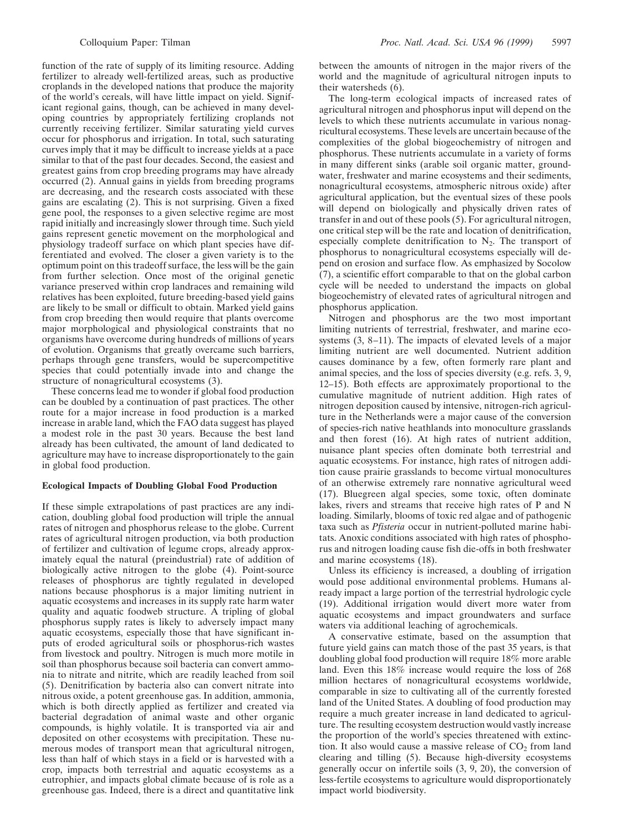function of the rate of supply of its limiting resource. Adding fertilizer to already well-fertilized areas, such as productive croplands in the developed nations that produce the majority of the world's cereals, will have little impact on yield. Significant regional gains, though, can be achieved in many developing countries by appropriately fertilizing croplands not currently receiving fertilizer. Similar saturating yield curves occur for phosphorus and irrigation. In total, such saturating curves imply that it may be difficult to increase yields at a pace similar to that of the past four decades. Second, the easiest and greatest gains from crop breeding programs may have already occurred (2). Annual gains in yields from breeding programs are decreasing, and the research costs associated with these gains are escalating (2). This is not surprising. Given a fixed gene pool, the responses to a given selective regime are most rapid initially and increasingly slower through time. Such yield gains represent genetic movement on the morphological and physiology tradeoff surface on which plant species have differentiated and evolved. The closer a given variety is to the optimum point on this tradeoff surface, the less will be the gain from further selection. Once most of the original genetic variance preserved within crop landraces and remaining wild relatives has been exploited, future breeding-based yield gains are likely to be small or difficult to obtain. Marked yield gains from crop breeding then would require that plants overcome major morphological and physiological constraints that no organisms have overcome during hundreds of millions of years of evolution. Organisms that greatly overcame such barriers, perhaps through gene transfers, would be supercompetitive species that could potentially invade into and change the structure of nonagricultural ecosystems (3).

These concerns lead me to wonder if global food production can be doubled by a continuation of past practices. The other route for a major increase in food production is a marked increase in arable land, which the FAO data suggest has played a modest role in the past 30 years. Because the best land already has been cultivated, the amount of land dedicated to agriculture may have to increase disproportionately to the gain in global food production.

### **Ecological Impacts of Doubling Global Food Production**

If these simple extrapolations of past practices are any indication, doubling global food production will triple the annual rates of nitrogen and phosphorus release to the globe. Current rates of agricultural nitrogen production, via both production of fertilizer and cultivation of legume crops, already approximately equal the natural (preindustrial) rate of addition of biologically active nitrogen to the globe (4). Point-source releases of phosphorus are tightly regulated in developed nations because phosphorus is a major limiting nutrient in aquatic ecosystems and increases in its supply rate harm water quality and aquatic foodweb structure. A tripling of global phosphorus supply rates is likely to adversely impact many aquatic ecosystems, especially those that have significant inputs of eroded agricultural soils or phosphorus-rich wastes from livestock and poultry. Nitrogen is much more motile in soil than phosphorus because soil bacteria can convert ammonia to nitrate and nitrite, which are readily leached from soil (5). Denitrification by bacteria also can convert nitrate into nitrous oxide, a potent greenhouse gas. In addition, ammonia, which is both directly applied as fertilizer and created via bacterial degradation of animal waste and other organic compounds, is highly volatile. It is transported via air and deposited on other ecosystems with precipitation. These numerous modes of transport mean that agricultural nitrogen, less than half of which stays in a field or is harvested with a crop, impacts both terrestrial and aquatic ecosystems as a eutrophier, and impacts global climate because of is role as a greenhouse gas. Indeed, there is a direct and quantitative link

between the amounts of nitrogen in the major rivers of the world and the magnitude of agricultural nitrogen inputs to their watersheds (6).

The long-term ecological impacts of increased rates of agricultural nitrogen and phosphorus input will depend on the levels to which these nutrients accumulate in various nonagricultural ecosystems. These levels are uncertain because of the complexities of the global biogeochemistry of nitrogen and phosphorus. These nutrients accumulate in a variety of forms in many different sinks (arable soil organic matter, groundwater, freshwater and marine ecosystems and their sediments, nonagricultural ecosystems, atmospheric nitrous oxide) after agricultural application, but the eventual sizes of these pools will depend on biologically and physically driven rates of transfer in and out of these pools (5). For agricultural nitrogen, one critical step will be the rate and location of denitrification, especially complete denitrification to  $N_2$ . The transport of phosphorus to nonagricultural ecosystems especially will depend on erosion and surface flow. As emphasized by Socolow (7), a scientific effort comparable to that on the global carbon cycle will be needed to understand the impacts on global biogeochemistry of elevated rates of agricultural nitrogen and phosphorus application.

Nitrogen and phosphorus are the two most important limiting nutrients of terrestrial, freshwater, and marine ecosystems (3, 8–11). The impacts of elevated levels of a major limiting nutrient are well documented. Nutrient addition causes dominance by a few, often formerly rare plant and animal species, and the loss of species diversity (e.g. refs. 3, 9, 12–15). Both effects are approximately proportional to the cumulative magnitude of nutrient addition. High rates of nitrogen deposition caused by intensive, nitrogen-rich agriculture in the Netherlands were a major cause of the conversion of species-rich native heathlands into monoculture grasslands and then forest (16). At high rates of nutrient addition, nuisance plant species often dominate both terrestrial and aquatic ecosystems. For instance, high rates of nitrogen addition cause prairie grasslands to become virtual monocultures of an otherwise extremely rare nonnative agricultural weed (17). Bluegreen algal species, some toxic, often dominate lakes, rivers and streams that receive high rates of P and N loading. Similarly, blooms of toxic red algae and of pathogenic taxa such as *Pfisteria* occur in nutrient-polluted marine habitats. Anoxic conditions associated with high rates of phosphorus and nitrogen loading cause fish die-offs in both freshwater and marine ecosystems (18).

Unless its efficiency is increased, a doubling of irrigation would pose additional environmental problems. Humans already impact a large portion of the terrestrial hydrologic cycle (19). Additional irrigation would divert more water from aquatic ecosystems and impact groundwaters and surface waters via additional leaching of agrochemicals.

A conservative estimate, based on the assumption that future yield gains can match those of the past 35 years, is that doubling global food production will require 18% more arable land. Even this 18% increase would require the loss of 268 million hectares of nonagricultural ecosystems worldwide, comparable in size to cultivating all of the currently forested land of the United States. A doubling of food production may require a much greater increase in land dedicated to agriculture. The resulting ecosystem destruction would vastly increase the proportion of the world's species threatened with extinction. It also would cause a massive release of  $CO<sub>2</sub>$  from land clearing and tilling (5). Because high-diversity ecosystems generally occur on infertile soils (3, 9, 20), the conversion of less-fertile ecosystems to agriculture would disproportionately impact world biodiversity.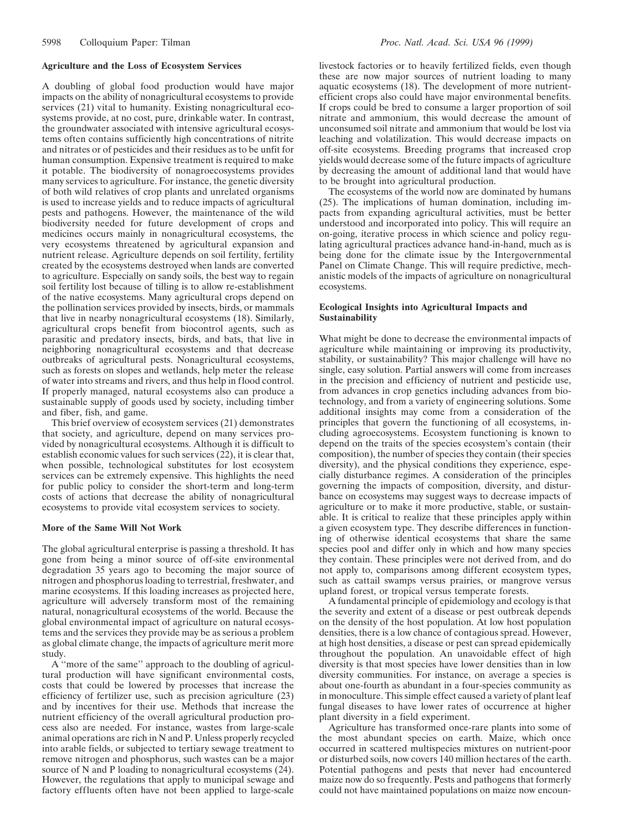#### **Agriculture and the Loss of Ecosystem Services**

A doubling of global food production would have major impacts on the ability of nonagricultural ecosystems to provide services (21) vital to humanity. Existing nonagricultural ecosystems provide, at no cost, pure, drinkable water. In contrast, the groundwater associated with intensive agricultural ecosystems often contains sufficiently high concentrations of nitrite and nitrates or of pesticides and their residues as to be unfit for human consumption. Expensive treatment is required to make it potable. The biodiversity of nonagroecosystems provides many services to agriculture. For instance, the genetic diversity of both wild relatives of crop plants and unrelated organisms is used to increase yields and to reduce impacts of agricultural pests and pathogens. However, the maintenance of the wild biodiversity needed for future development of crops and medicines occurs mainly in nonagricultural ecosystems, the very ecosystems threatened by agricultural expansion and nutrient release. Agriculture depends on soil fertility, fertility created by the ecosystems destroyed when lands are converted to agriculture. Especially on sandy soils, the best way to regain soil fertility lost because of tilling is to allow re-establishment of the native ecosystems. Many agricultural crops depend on the pollination services provided by insects, birds, or mammals that live in nearby nonagricultural ecosystems (18). Similarly, agricultural crops benefit from biocontrol agents, such as parasitic and predatory insects, birds, and bats, that live in neighboring nonagricultural ecosystems and that decrease outbreaks of agricultural pests. Nonagricultural ecosystems, such as forests on slopes and wetlands, help meter the release of water into streams and rivers, and thus help in flood control. If properly managed, natural ecosystems also can produce a sustainable supply of goods used by society, including timber and fiber, fish, and game.

This brief overview of ecosystem services (21) demonstrates that society, and agriculture, depend on many services provided by nonagricultural ecosystems. Although it is difficult to establish economic values for such services (22), it is clear that, when possible, technological substitutes for lost ecosystem services can be extremely expensive. This highlights the need for public policy to consider the short-term and long-term costs of actions that decrease the ability of nonagricultural ecosystems to provide vital ecosystem services to society.

#### **More of the Same Will Not Work**

The global agricultural enterprise is passing a threshold. It has gone from being a minor source of off-site environmental degradation 35 years ago to becoming the major source of nitrogen and phosphorus loading to terrestrial, freshwater, and marine ecosystems. If this loading increases as projected here, agriculture will adversely transform most of the remaining natural, nonagricultural ecosystems of the world. Because the global environmental impact of agriculture on natural ecosystems and the services they provide may be as serious a problem as global climate change, the impacts of agriculture merit more study.

A ''more of the same'' approach to the doubling of agricultural production will have significant environmental costs, costs that could be lowered by processes that increase the efficiency of fertilizer use, such as precision agriculture (23) and by incentives for their use. Methods that increase the nutrient efficiency of the overall agricultural production process also are needed. For instance, wastes from large-scale animal operations are rich in N and P. Unless properly recycled into arable fields, or subjected to tertiary sewage treatment to remove nitrogen and phosphorus, such wastes can be a major source of N and P loading to nonagricultural ecosystems  $(24)$ . However, the regulations that apply to municipal sewage and factory effluents often have not been applied to large-scale

livestock factories or to heavily fertilized fields, even though these are now major sources of nutrient loading to many aquatic ecosystems (18). The development of more nutrientefficient crops also could have major environmental benefits. If crops could be bred to consume a larger proportion of soil nitrate and ammonium, this would decrease the amount of unconsumed soil nitrate and ammonium that would be lost via leaching and volatilization. This would decrease impacts on off-site ecosystems. Breeding programs that increased crop yields would decrease some of the future impacts of agriculture by decreasing the amount of additional land that would have to be brought into agricultural production.

The ecosystems of the world now are dominated by humans (25). The implications of human domination, including impacts from expanding agricultural activities, must be better understood and incorporated into policy. This will require an on-going, iterative process in which science and policy regulating agricultural practices advance hand-in-hand, much as is being done for the climate issue by the Intergovernmental Panel on Climate Change. This will require predictive, mechanistic models of the impacts of agriculture on nonagricultural ecosystems.

#### **Ecological Insights into Agricultural Impacts and Sustainability**

What might be done to decrease the environmental impacts of agriculture while maintaining or improving its productivity, stability, or sustainability? This major challenge will have no single, easy solution. Partial answers will come from increases in the precision and efficiency of nutrient and pesticide use, from advances in crop genetics including advances from biotechnology, and from a variety of engineering solutions. Some additional insights may come from a consideration of the principles that govern the functioning of all ecosystems, including agroecosystems. Ecosystem functioning is known to depend on the traits of the species ecosystem's contain (their composition), the number of species they contain (their species diversity), and the physical conditions they experience, especially disturbance regimes. A consideration of the principles governing the impacts of composition, diversity, and disturbance on ecosystems may suggest ways to decrease impacts of agriculture or to make it more productive, stable, or sustainable. It is critical to realize that these principles apply within a given ecosystem type. They describe differences in functioning of otherwise identical ecosystems that share the same species pool and differ only in which and how many species they contain. These principles were not derived from, and do not apply to, comparisons among different ecosystem types, such as cattail swamps versus prairies, or mangrove versus upland forest, or tropical versus temperate forests.

A fundamental principle of epidemiology and ecology is that the severity and extent of a disease or pest outbreak depends on the density of the host population. At low host population densities, there is a low chance of contagious spread. However, at high host densities, a disease or pest can spread epidemically throughout the population. An unavoidable effect of high diversity is that most species have lower densities than in low diversity communities. For instance, on average a species is about one-fourth as abundant in a four-species community as in monoculture. This simple effect caused a variety of plant leaf fungal diseases to have lower rates of occurrence at higher plant diversity in a field experiment.

Agriculture has transformed once-rare plants into some of the most abundant species on earth. Maize, which once occurred in scattered multispecies mixtures on nutrient-poor or disturbed soils, now covers 140 million hectares of the earth. Potential pathogens and pests that never had encountered maize now do so frequently. Pests and pathogens that formerly could not have maintained populations on maize now encoun-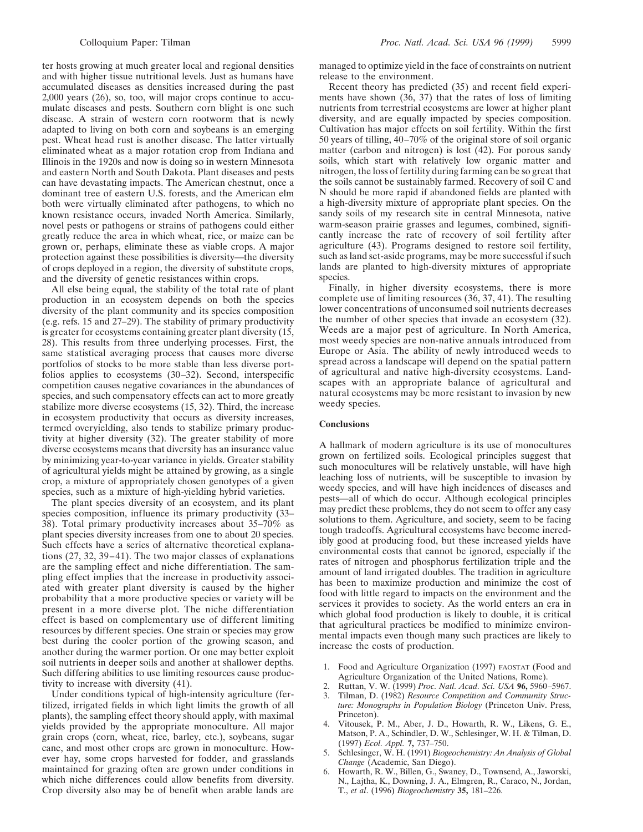ter hosts growing at much greater local and regional densities and with higher tissue nutritional levels. Just as humans have accumulated diseases as densities increased during the past 2,000 years (26), so, too, will major crops continue to accumulate diseases and pests. Southern corn blight is one such disease. A strain of western corn rootworm that is newly adapted to living on both corn and soybeans is an emerging pest. Wheat head rust is another disease. The latter virtually eliminated wheat as a major rotation crop from Indiana and Illinois in the 1920s and now is doing so in western Minnesota and eastern North and South Dakota. Plant diseases and pests can have devastating impacts. The American chestnut, once a dominant tree of eastern U.S. forests, and the American elm both were virtually eliminated after pathogens, to which no known resistance occurs, invaded North America. Similarly, novel pests or pathogens or strains of pathogens could either greatly reduce the area in which wheat, rice, or maize can be grown or, perhaps, eliminate these as viable crops. A major protection against these possibilities is diversity—the diversity of crops deployed in a region, the diversity of substitute crops, and the diversity of genetic resistances within crops.

All else being equal, the stability of the total rate of plant production in an ecosystem depends on both the species diversity of the plant community and its species composition (e.g. refs. 15 and 27–29). The stability of primary productivity is greater for ecosystems containing greater plant diversity (15, 28). This results from three underlying processes. First, the same statistical averaging process that causes more diverse portfolios of stocks to be more stable than less diverse portfolios applies to ecosystems (30–32). Second, interspecific competition causes negative covariances in the abundances of species, and such compensatory effects can act to more greatly stabilize more diverse ecosystems (15, 32). Third, the increase in ecosystem productivity that occurs as diversity increases, termed overyielding, also tends to stabilize primary productivity at higher diversity (32). The greater stability of more diverse ecosystems means that diversity has an insurance value by minimizing year-to-year variance in yields. Greater stability of agricultural yields might be attained by growing, as a single crop, a mixture of appropriately chosen genotypes of a given species, such as a mixture of high-yielding hybrid varieties.

The plant species diversity of an ecosystem, and its plant species composition, influence its primary productivity (33– 38). Total primary productivity increases about 35–70% as plant species diversity increases from one to about 20 species. Such effects have a series of alternative theoretical explanations (27, 32, 39–41). The two major classes of explanations are the sampling effect and niche differentiation. The sampling effect implies that the increase in productivity associated with greater plant diversity is caused by the higher probability that a more productive species or variety will be present in a more diverse plot. The niche differentiation effect is based on complementary use of different limiting resources by different species. One strain or species may grow best during the cooler portion of the growing season, and another during the warmer portion. Or one may better exploit soil nutrients in deeper soils and another at shallower depths. Such differing abilities to use limiting resources cause productivity to increase with diversity (41).

Under conditions typical of high-intensity agriculture (fertilized, irrigated fields in which light limits the growth of all plants), the sampling effect theory should apply, with maximal yields provided by the appropriate monoculture. All major grain crops (corn, wheat, rice, barley, etc.), soybeans, sugar cane, and most other crops are grown in monoculture. However hay, some crops harvested for fodder, and grasslands maintained for grazing often are grown under conditions in which niche differences could allow benefits from diversity. Crop diversity also may be of benefit when arable lands are

managed to optimize yield in the face of constraints on nutrient release to the environment.

Recent theory has predicted (35) and recent field experiments have shown (36, 37) that the rates of loss of limiting nutrients from terrestrial ecosystems are lower at higher plant diversity, and are equally impacted by species composition. Cultivation has major effects on soil fertility. Within the first 50 years of tilling, 40–70% of the original store of soil organic matter (carbon and nitrogen) is lost (42). For porous sandy soils, which start with relatively low organic matter and nitrogen, the loss of fertility during farming can be so great that the soils cannot be sustainably farmed. Recovery of soil C and N should be more rapid if abandoned fields are planted with a high-diversity mixture of appropriate plant species. On the sandy soils of my research site in central Minnesota, native warm-season prairie grasses and legumes, combined, significantly increase the rate of recovery of soil fertility after agriculture (43). Programs designed to restore soil fertility, such as land set-aside programs, may be more successful if such lands are planted to high-diversity mixtures of appropriate species.

Finally, in higher diversity ecosystems, there is more complete use of limiting resources (36, 37, 41). The resulting lower concentrations of unconsumed soil nutrients decreases the number of other species that invade an ecosystem (32). Weeds are a major pest of agriculture. In North America, most weedy species are non-native annuals introduced from Europe or Asia. The ability of newly introduced weeds to spread across a landscape will depend on the spatial pattern of agricultural and native high-diversity ecosystems. Landscapes with an appropriate balance of agricultural and natural ecosystems may be more resistant to invasion by new weedy species.

#### **Conclusions**

A hallmark of modern agriculture is its use of monocultures grown on fertilized soils. Ecological principles suggest that such monocultures will be relatively unstable, will have high leaching loss of nutrients, will be susceptible to invasion by weedy species, and will have high incidences of diseases and pests—all of which do occur. Although ecological principles may predict these problems, they do not seem to offer any easy solutions to them. Agriculture, and society, seem to be facing tough tradeoffs. Agricultural ecosystems have become incredibly good at producing food, but these increased yields have environmental costs that cannot be ignored, especially if the rates of nitrogen and phosphorus fertilization triple and the amount of land irrigated doubles. The tradition in agriculture has been to maximize production and minimize the cost of food with little regard to impacts on the environment and the services it provides to society. As the world enters an era in which global food production is likely to double, it is critical that agricultural practices be modified to minimize environmental impacts even though many such practices are likely to increase the costs of production.

- 1. Food and Agriculture Organization (1997) FAOSTAT (Food and Agriculture Organization of the United Nations, Rome).
- 2. Ruttan, V. W. (1999) *Proc. Natl. Acad. Sci. USA* **96,** 5960–5967. 3. Tilman, D. (1982) *Resource Competition and Community Structure: Monographs in Population Biology* (Princeton Univ. Press, Princeton).
- 4. Vitousek, P. M., Aber, J. D., Howarth, R. W., Likens, G. E., Matson, P. A., Schindler, D. W., Schlesinger, W. H. & Tilman, D. (1997) *Ecol. Appl.* **7,** 737–750.
- 5. Schlesinger, W. H. (1991) *Biogeochemistry: An Analysis of Global Change* (Academic, San Diego).
- 6. Howarth, R. W., Billen, G., Swaney, D., Townsend, A., Jaworski, N., Lajtha, K., Downing, J. A., Elmgren, R., Caraco, N., Jordan, T., *et al*. (1996) *Biogeochemistry* **35,** 181–226.